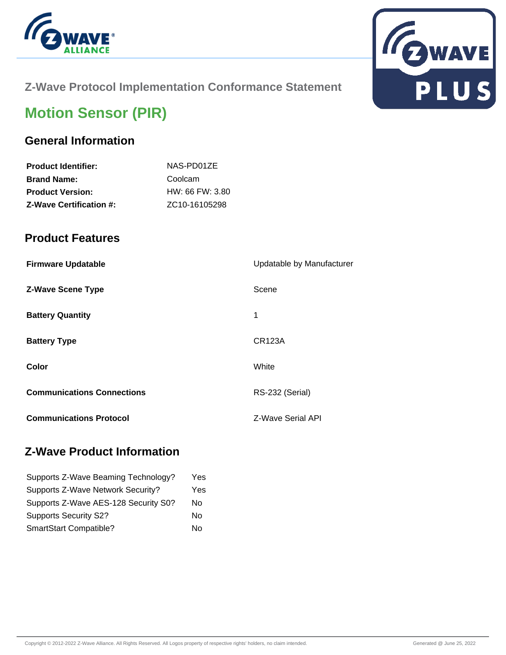



# **Z-Wave Protocol Implementation Conformance Statement**

# **Motion Sensor (PIR)**

# **General Information**

| <b>Product Identifier:</b>     | NAS-PD01ZE                 |
|--------------------------------|----------------------------|
| <b>Brand Name:</b>             | Coolcam                    |
| <b>Product Version:</b>        | HW: 66 FW: 3.80            |
| <b>Z-Wave Certification #:</b> | ZC <sub>10</sub> -16105298 |

#### **Product Features**

| <b>Firmware Updatable</b>         | Updatable by Manufacturer |
|-----------------------------------|---------------------------|
| <b>Z-Wave Scene Type</b>          | Scene                     |
| <b>Battery Quantity</b>           | 1                         |
| <b>Battery Type</b>               | <b>CR123A</b>             |
| Color                             | White                     |
| <b>Communications Connections</b> | RS-232 (Serial)           |
| <b>Communications Protocol</b>    | Z-Wave Serial API         |

### **Z-Wave Product Information**

| Supports Z-Wave Beaming Technology?  | Yes |
|--------------------------------------|-----|
| Supports Z-Wave Network Security?    | Yes |
| Supports Z-Wave AES-128 Security S0? | No  |
| <b>Supports Security S2?</b>         | No  |
| SmartStart Compatible?               | No  |